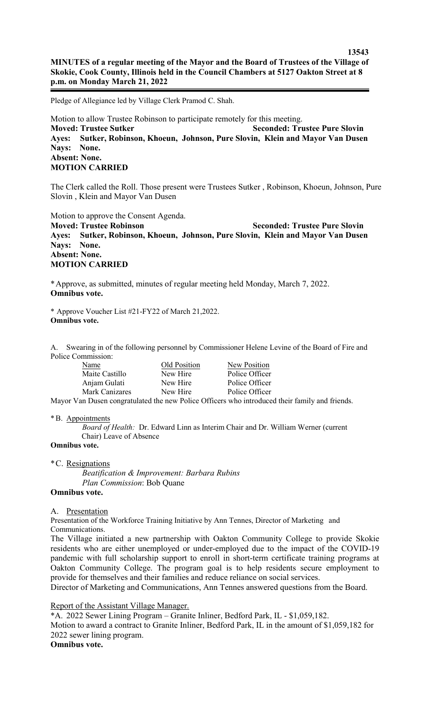Pledge of Allegiance led by Village Clerk Pramod C. Shah.

Motion to allow Trustee Robinson to participate remotely for this meeting. **Moved: Trustee Sutker Seconded: Trustee Pure Slovin Ayes: Sutker, Robinson, Khoeun, Johnson, Pure Slovin, Klein and Mayor Van Dusen Nays: None. Absent: None. MOTION CARRIED**

The Clerk called the Roll. Those present were Trustees Sutker , Robinson, Khoeun, Johnson, Pure Slovin , Klein and Mayor Van Dusen

Motion to approve the Consent Agenda.

**Moved: Trustee Robinson Seconded: Trustee Pure Slovin Ayes: Sutker, Robinson, Khoeun, Johnson, Pure Slovin, Klein and Mayor Van Dusen Nays: None. Absent: None. MOTION CARRIED**

\*Approve, as submitted, minutes of regular meeting held Monday, March 7, 2022. **Omnibus vote.**

\* Approve Voucher List #21-FY22 of March 21,2022. **Omnibus vote.**

A. Swearing in of the following personnel by Commissioner Helene Levine of the Board of Fire and Police Commission:

| Name           | Old Position | New Position                |
|----------------|--------------|-----------------------------|
| Maite Castillo | New Hire     | Police Officer              |
| Anjam Gulati   | New Hire     | Police Officer              |
| Mark Canizares | New Hire     | Police Officer              |
|                |              | $\sim$ $\sim$ $\sim$ $\sim$ |

Mayor Van Dusen congratulated the new Police Officers who introduced their family and friends.

## \*B. Appointments

*Board of Health:* Dr. Edward Linn as Interim Chair and Dr. William Werner (current Chair) Leave of Absence

**Omnibus vote.**

\*C. Resignations

*Beatification & Improvement: Barbara Rubins Plan Commission*: Bob Quane

## **Omnibus vote.**

A. Presentation

Presentation of the Workforce Training Initiative by Ann Tennes, Director of Marketing and Communications.

The Village initiated a new partnership with Oakton Community College to provide Skokie residents who are either unemployed or under-employed due to the impact of the COVID-19 pandemic with full scholarship support to enroll in short-term certificate training programs at Oakton Community College. The program goal is to help residents secure employment to provide for themselves and their families and reduce reliance on social services.

Director of Marketing and Communications, Ann Tennes answered questions from the Board.

Report of the Assistant Village Manager.

\*A. 2022 Sewer Lining Program – Granite Inliner, Bedford Park, IL - \$1,059,182. Motion to award a contract to Granite Inliner, Bedford Park, IL in the amount of \$1,059,182 for 2022 sewer lining program. **Omnibus vote.**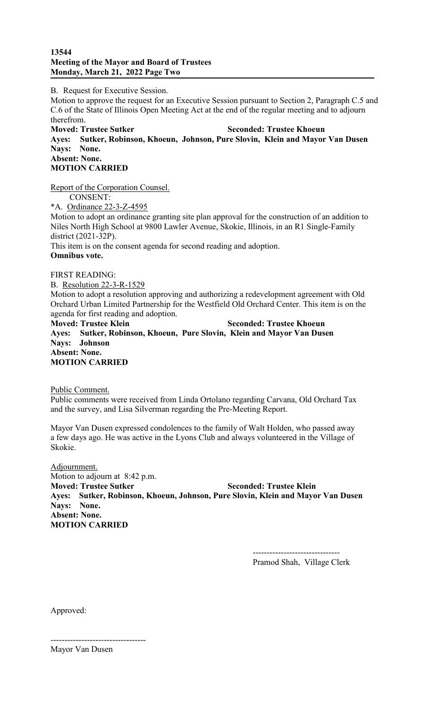## **13544 Meeting of the Mayor and Board of Trustees Monday, March 21, 2022 Page Two**

B. Request for Executive Session.

Motion to approve the request for an Executive Session pursuant to Section 2, Paragraph C.5 and C.6 of the State of Illinois Open Meeting Act at the end of the regular meeting and to adjourn therefrom.

**Moved: Trustee Sutker Seconded: Trustee Khoeun Ayes: Sutker, Robinson, Khoeun, Johnson, Pure Slovin, Klein and Mayor Van Dusen Nays: None. Absent: None. MOTION CARRIED**

Report of the Corporation Counsel. CONSENT: \*A. Ordinance 22-3-Z-4595 Motion to adopt an ordinance granting site plan approval for the construction of an addition to Niles North High School at 9800 Lawler Avenue, Skokie, Illinois, in an R1 Single-Family district (2021-32P). This item is on the consent agenda for second reading and adoption. **Omnibus vote.**

FIRST READING:

B. Resolution 22-3-R-1529

Motion to adopt a resolution approving and authorizing a redevelopment agreement with Old Orchard Urban Limited Partnership for the Westfield Old Orchard Center. This item is on the agenda for first reading and adoption.

**Moved: Trustee Klein Seconded: Trustee Khoeun Ayes: Sutker, Robinson, Khoeun, Pure Slovin, Klein and Mayor Van Dusen Nays: Johnson Absent: None. MOTION CARRIED**

Public Comment.

Public comments were received from Linda Ortolano regarding Carvana, Old Orchard Tax and the survey, and Lisa Silverman regarding the Pre-Meeting Report.

Mayor Van Dusen expressed condolences to the family of Walt Holden, who passed away a few days ago. He was active in the Lyons Club and always volunteered in the Village of Skokie.

Adjournment. Motion to adjourn at 8:42 p.m. **Moved: Trustee Sutker Seconded: Trustee Klein Ayes: Sutker, Robinson, Khoeun, Johnson, Pure Slovin, Klein and Mayor Van Dusen Nays: None. Absent: None. MOTION CARRIED**

> ------------------------------- Pramod Shah, Village Clerk

Approved:

---------------------------------- Mayor Van Dusen